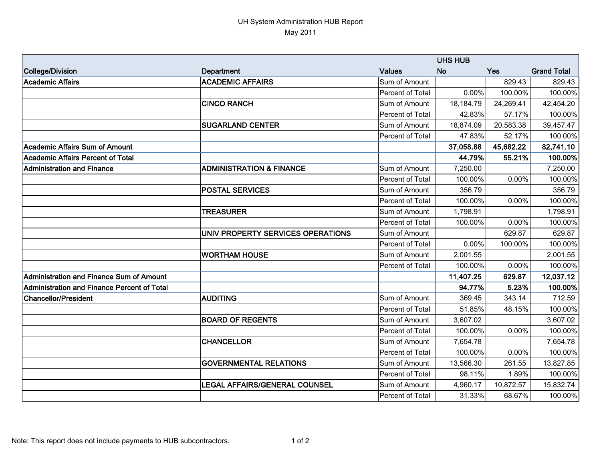## UH System Administration HUB Report May 2011

|                                             | <b>UHS HUB</b>                       |                  |           |           |                    |
|---------------------------------------------|--------------------------------------|------------------|-----------|-----------|--------------------|
| College/Division                            | Department                           | <b>Values</b>    | <b>No</b> | Yes       | <b>Grand Total</b> |
| <b>Academic Affairs</b>                     | <b>ACADEMIC AFFAIRS</b>              | Sum of Amount    |           | 829.43    | 829.43             |
|                                             |                                      | Percent of Total | 0.00%     | 100.00%   | 100.00%            |
|                                             | <b>CINCO RANCH</b>                   | Sum of Amount    | 18,184.79 | 24,269.41 | 42,454.20          |
|                                             |                                      | Percent of Total | 42.83%    | 57.17%    | 100.00%            |
|                                             | <b>SUGARLAND CENTER</b>              | Sum of Amount    | 18,874.09 | 20,583.38 | 39,457.47          |
|                                             |                                      | Percent of Total | 47.83%    | 52.17%    | 100.00%            |
| lAcademic Affairs Sum of Amount             |                                      |                  | 37,058.88 | 45,682.22 | 82,741.10          |
| Academic Affairs Percent of Total           |                                      |                  | 44.79%    | 55.21%    | 100.00%            |
| Administration and Finance                  | <b>ADMINISTRATION &amp; FINANCE</b>  | Sum of Amount    | 7,250.00  |           | 7,250.00           |
|                                             |                                      | Percent of Total | 100.00%   | 0.00%     | 100.00%            |
|                                             | <b>POSTAL SERVICES</b>               | Sum of Amount    | 356.79    |           | 356.79             |
|                                             |                                      | Percent of Total | 100.00%   | 0.00%     | 100.00%            |
|                                             | <b>TREASURER</b>                     | Sum of Amount    | 1,798.91  |           | 1,798.91           |
|                                             |                                      | Percent of Total | 100.00%   | 0.00%     | 100.00%            |
|                                             | UNIV PROPERTY SERVICES OPERATIONS    | Sum of Amount    |           | 629.87    | 629.87             |
|                                             |                                      | Percent of Total | 0.00%     | 100.00%   | 100.00%            |
|                                             | <b>WORTHAM HOUSE</b>                 | Sum of Amount    | 2,001.55  |           | 2,001.55           |
|                                             |                                      | Percent of Total | 100.00%   | 0.00%     | 100.00%            |
| Administration and Finance Sum of Amount    |                                      |                  | 11,407.25 | 629.87    | 12,037.12          |
| Administration and Finance Percent of Total |                                      |                  | 94.77%    | 5.23%     | 100.00%            |
| Chancellor/President                        | <b>AUDITING</b>                      | Sum of Amount    | 369.45    | 343.14    | 712.59             |
|                                             |                                      | Percent of Total | 51.85%    | 48.15%    | 100.00%            |
|                                             | <b>BOARD OF REGENTS</b>              | Sum of Amount    | 3,607.02  |           | 3,607.02           |
|                                             |                                      | Percent of Total | 100.00%   | 0.00%     | 100.00%            |
|                                             | <b>CHANCELLOR</b>                    | Sum of Amount    | 7,654.78  |           | 7,654.78           |
|                                             |                                      | Percent of Total | 100.00%   | 0.00%     | 100.00%            |
|                                             | <b>GOVERNMENTAL RELATIONS</b>        | Sum of Amount    | 13,566.30 | 261.55    | 13,827.85          |
|                                             |                                      | Percent of Total | 98.11%    | 1.89%     | 100.00%            |
|                                             | <b>LEGAL AFFAIRS/GENERAL COUNSEL</b> | Sum of Amount    | 4,960.17  | 10,872.57 | 15,832.74          |
|                                             |                                      | Percent of Total | 31.33%    | 68.67%    | 100.00%            |